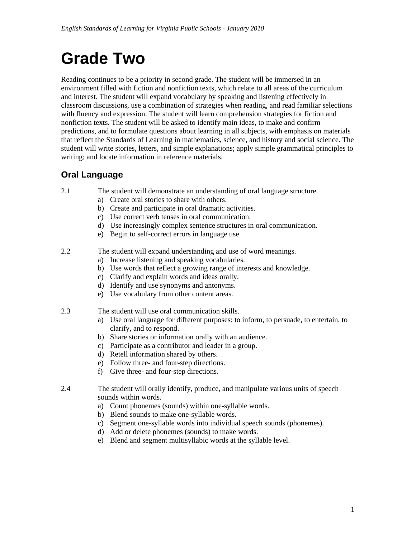# **Grade Two**

Reading continues to be a priority in second grade. The student will be immersed in an environment filled with fiction and nonfiction texts, which relate to all areas of the curriculum and interest. The student will expand vocabulary by speaking and listening effectively in classroom discussions, use a combination of strategies when reading, and read familiar selections with fluency and expression. The student will learn comprehension strategies for fiction and nonfiction texts. The student will be asked to identify main ideas, to make and confirm predictions, and to formulate questions about learning in all subjects, with emphasis on materials that reflect the Standards of Learning in mathematics, science, and history and social science. The student will write stories, letters, and simple explanations; apply simple grammatical principles to writing; and locate information in reference materials.

### **Oral Language**

- 2.1 The student will demonstrate an understanding of oral language structure.
	- a) Create oral stories to share with others.
	- b) Create and participate in oral dramatic activities.
	- c) Use correct verb tenses in oral communication.
	- d) Use increasingly complex sentence structures in oral communication.
	- e) Begin to self-correct errors in language use.
- 2.2 The student will expand understanding and use of word meanings.
	- a) Increase listening and speaking vocabularies.
	- b) Use words that reflect a growing range of interests and knowledge.
	- c) Clarify and explain words and ideas orally.
	- d) Identify and use synonyms and antonyms.
	- e) Use vocabulary from other content areas.
- 2.3 The student will use oral communication skills.
	- a) Use oral language for different purposes: to inform, to persuade, to entertain, to clarify, and to respond.
	- b) Share stories or information orally with an audience.
	- c) Participate as a contributor and leader in a group.
	- d) Retell information shared by others.
	- e) Follow three- and four-step directions.
	- f) Give three- and four-step directions.
- 2.4 The student will orally identify, produce, and manipulate various units of speech sounds within words.
	- a) Count phonemes (sounds) within one-syllable words.
	- b) Blend sounds to make one-syllable words.
	- c) Segment one-syllable words into individual speech sounds (phonemes).
	- d) Add or delete phonemes (sounds) to make words.
	- e) Blend and segment multisyllabic words at the syllable level.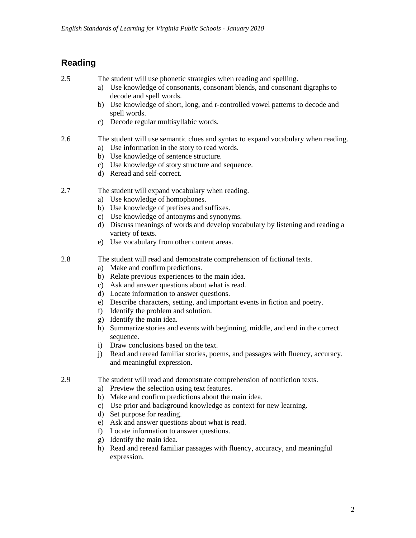## **Reading**

2.5 The student will use phonetic strategies when reading and spelling.

- a) Use knowledge of consonants, consonant blends, and consonant digraphs to decode and spell words.
- b) Use knowledge of short, long, and r-controlled vowel patterns to decode and spell words.
- c) Decode regular multisyllabic words.
- 2.6 The student will use semantic clues and syntax to expand vocabulary when reading.
	- a) Use information in the story to read words.
	- b) Use knowledge of sentence structure.
	- c) Use knowledge of story structure and sequence.
	- d) Reread and self-correct.
- 2.7 The student will expand vocabulary when reading.
	- a) Use knowledge of homophones.
	- b) Use knowledge of prefixes and suffixes.
	- c) Use knowledge of antonyms and synonyms.
	- d) Discuss meanings of words and develop vocabulary by listening and reading a variety of texts.
	- e) Use vocabulary from other content areas.
- 2.8 The student will read and demonstrate comprehension of fictional texts.
	- a) Make and confirm predictions.
	- b) Relate previous experiences to the main idea.
	- c) Ask and answer questions about what is read.
	- d) Locate information to answer questions.
	- e) Describe characters, setting, and important events in fiction and poetry.
	- f) Identify the problem and solution.
	- g) Identify the main idea.
	- h) Summarize stories and events with beginning, middle, and end in the correct sequence.
	- i) Draw conclusions based on the text.
	- j) Read and reread familiar stories, poems, and passages with fluency, accuracy, and meaningful expression.
- 2.9 The student will read and demonstrate comprehension of nonfiction texts.
	- a) Preview the selection using text features.
	- b) Make and confirm predictions about the main idea.
	- c) Use prior and background knowledge as context for new learning.
	- d) Set purpose for reading.
	- e) Ask and answer questions about what is read.
	- f) Locate information to answer questions.
	- g) Identify the main idea.
	- h) Read and reread familiar passages with fluency, accuracy, and meaningful expression.